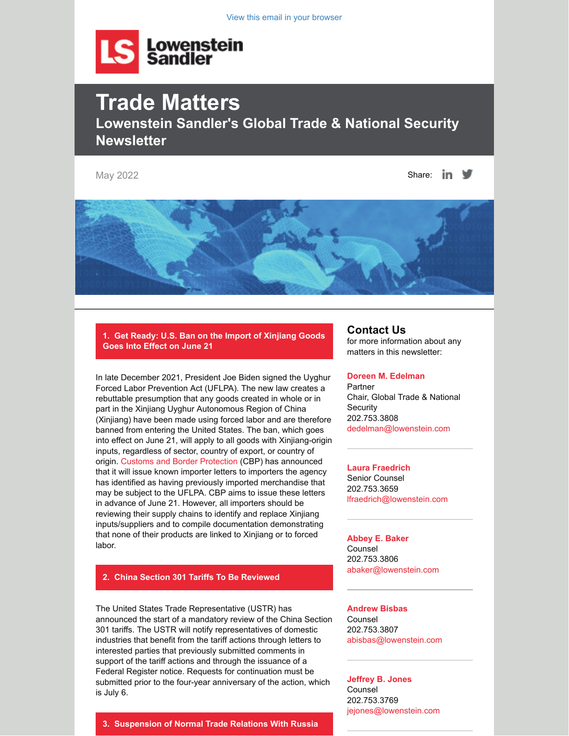View this email in your browser



# **Trade Matters Lowenstein Sandler's Global Trade & National Security Newsletter**

May 2022 Share:  $\ln$   $\blacksquare$ 



**1. Get Ready: U.S. Ban on the Import of Xinjiang Goods Goes Into Effect on June 21**

In late December 2021, President Joe Biden signed the Uyghur Forced Labor Prevention Act (UFLPA). The new law creates a rebuttable presumption that any goods created in whole or in part in the Xinjiang Uyghur Autonomous Region of China (Xinjiang) have been made using forced labor and are therefore banned from entering the United States. The ban, which goes into effect on June 21, will apply to all goods with Xinjiang-origin inputs, regardless of sector, country of export, or country of origin. [Customs and Border Protection](https://my.lowenstein.com/e/00anu5dmquxaw) (CBP) has announced that it will issue known importer letters to importers the agency has identified as having previously imported merchandise that may be subject to the UFLPA. CBP aims to issue these letters in advance of June 21. However, all importers should be reviewing their supply chains to identify and replace Xinjiang inputs/suppliers and to compile documentation demonstrating that none of their products are linked to Xinjiang or to forced labor.

# **2. China Section 301 Tariffs To Be Reviewed**

The United States Trade Representative (USTR) has announced the start of a mandatory review of the China Section 301 tariffs. The USTR will notify representatives of domestic industries that benefit from the tariff actions through letters to interested parties that previously submitted comments in support of the tariff actions and through the issuance of a Federal Register notice. Requests for continuation must be submitted prior to the four-year anniversary of the action, which is July 6.

# **Contact Us**

for more information about any matters in this newsletter:

#### **[Doreen M. Edelman](https://my.lowenstein.com/e/rxu2hrnlcugtww)**

Partner Chair, Global Trade & National **Security** 202.753.3808 [dedelman@lowenstein.com](https://my.lowenstein.com/16/3753/may-2022/dedelman@lowenstein.com)

#### **[Laura Fraedrich](https://my.lowenstein.com/e/4u2qdfzs4hdmw)**

Senior Counsel 202.753.3659 [lfraedrich@lowenstein.com](mailto:lfraedrich@lowenstein.com)

#### **[Abbey E. Baker](https://my.lowenstein.com/e/btumonnfhsyzg)** Counsel

202.753.3806 [abaker@lowenstein.com](mailto:abaker@lowenstein.com)

**[Andrew Bisbas](https://my.lowenstein.com/e/yzk6i6zohvgrrjq)** Counsel 202.753.3807 [abisbas@lowenstein.com](mailto:abisbas@lowenstein.com)

**[Jeffrey B. Jones](https://my.lowenstein.com/e/p0aoadkleqdyq)** Counsel 202.753.3769 [jejones@lowenstein.com](mailto:jejones@lowenstein.com)

### **3. Suspension of Normal Trade Relations With Russia**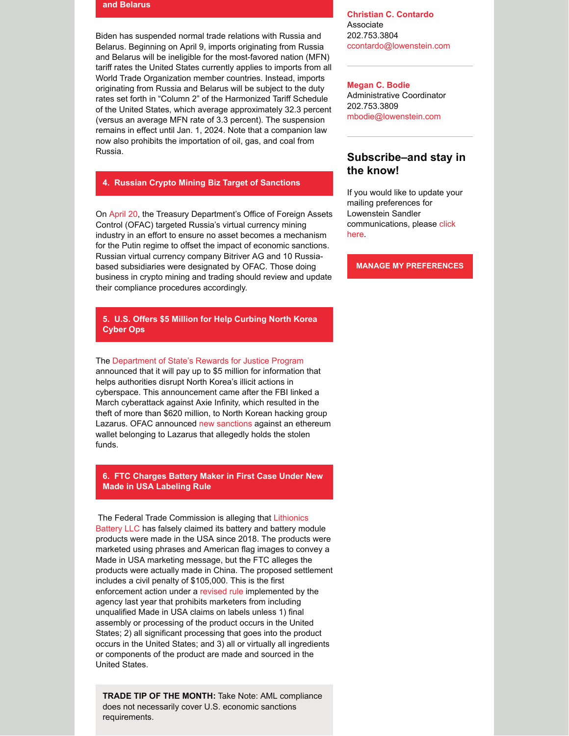#### **and Belarus**

Biden has suspended normal trade relations with Russia and Belarus. Beginning on April 9, imports originating from Russia and Belarus will be ineligible for the most-favored nation (MFN) tariff rates the United States currently applies to imports from all World Trade Organization member countries. Instead, imports originating from Russia and Belarus will be subject to the duty rates set forth in "Column 2" of the Harmonized Tariff Schedule of the United States, which average approximately 32.3 percent (versus an average MFN rate of 3.3 percent). The suspension remains in effect until Jan. 1, 2024. Note that a companion law now also prohibits the importation of oil, gas, and coal from Russia.

#### **4. Russian Crypto Mining Biz Target of Sanctions**

On [April 20](https://my.lowenstein.com/e/qluaayxgxpkrqlw), the Treasury Department's Office of Foreign Assets Control (OFAC) targeted Russia's virtual currency mining industry in an effort to ensure no asset becomes a mechanism for the Putin regime to offset the impact of economic sanctions. Russian virtual currency company Bitriver AG and 10 Russiabased subsidiaries were designated by OFAC. Those doing business in crypto mining and trading should review and update their compliance procedures accordingly.

## **5. U.S. Offers \$5 Million for Help Curbing North Korea Cyber Ops**

#### The [Department of State's Rewards for Justice Program](https://my.lowenstein.com/e/mieyoiquoo2jfog)

announced that it will pay up to \$5 million for information that helps authorities disrupt North Korea's illicit actions in cyberspace. This announcement came after the FBI linked a March cyberattack against Axie Infinity, which resulted in the theft of more than \$620 million, to North Korean hacking group Lazarus. OFAC announced [new sanctions](https://my.lowenstein.com/e/el0maiqis0hukag) against an ethereum wallet belonging to Lazarus that allegedly holds the stolen funds.

#### **6. FTC Charges Battery Maker in First Case Under New Made in USA Labeling Rule**

The Federal Trade Commission is alleging that Lithionics [Battery LLC has falsely claimed its battery and battery mo](https://my.lowenstein.com/e/v0fqnvsofxzg)dule products were made in the USA since 2018. The products were marketed using phrases and American flag images to convey a Made in USA marketing message, but the FTC alleges the products were actually made in China. The proposed settlement includes a civil penalty of \$105,000. This is the first enforcement action under a [revised rule](https://my.lowenstein.com/e/qleggdjkozkcbq) implemented by the agency last year that prohibits marketers from including unqualified Made in USA claims on labels unless 1) final assembly or processing of the product occurs in the United States; 2) all significant processing that goes into the product occurs in the United States; and 3) all or virtually all ingredients or components of the product are made and sourced in the United States.

**TRADE TIP OF THE MONTH:** Take Note: AML compliance does not necessarily cover U.S. economic sanctions requirements.

**[Christian C. Contardo](https://my.lowenstein.com/e/quymyjleehscg)** Associate 202.753.3804 [ccontardo@lowenstein.com](mailto:ccontardo@lowenstein.com)

**[Megan C. Bodie](https://my.lowenstein.com/e/ykqxdsbfn3ctwa)** Administrative Coordinator 202.753.3809 [mbodie@lowenstein.com](mailto:mbodie@lowenstein.com)

# **Subscribe–and stay in the know!**

If you would like to update your mailing preferences for Lowenstein Sandler [communications, please click](https://my.lowenstein.com/e/9e2hhxp1rnfbw) here.

**[MANAGE MY PREFERENCES](https://my.lowenstein.com/e/9e2hhxp1rnfbw)**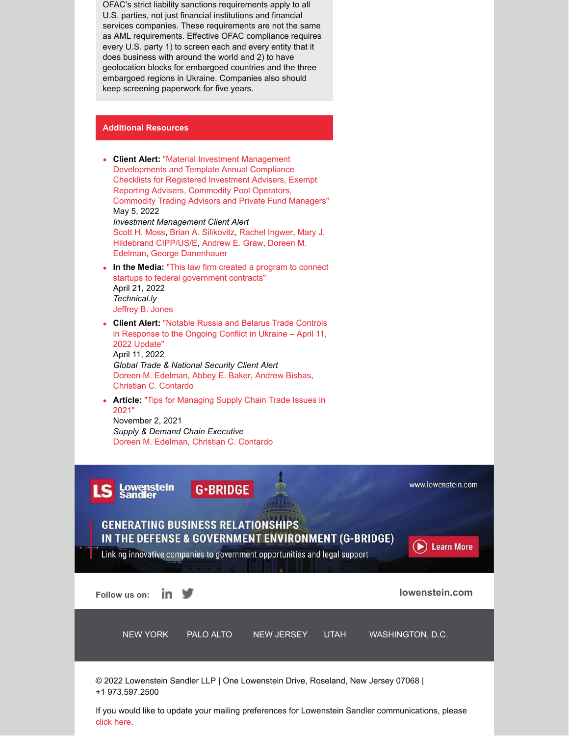OFAC's strict liability sanctions requirements apply to all U.S. parties, not just financial institutions and financial services companies. These requirements are not the same as AML requirements. Effective OFAC compliance requires every U.S. party 1) to screen each and every entity that it does business with around the world and 2) to have geolocation blocks for embargoed countries and the three embargoed regions in Ukraine. Companies also should keep screening paperwork for five years.

# **Additional Resources**



If you would like to update your mailing preferences for Lowenstein Sandler communications, please [click here](https://my.lowenstein.com/v/p1v6r6v).